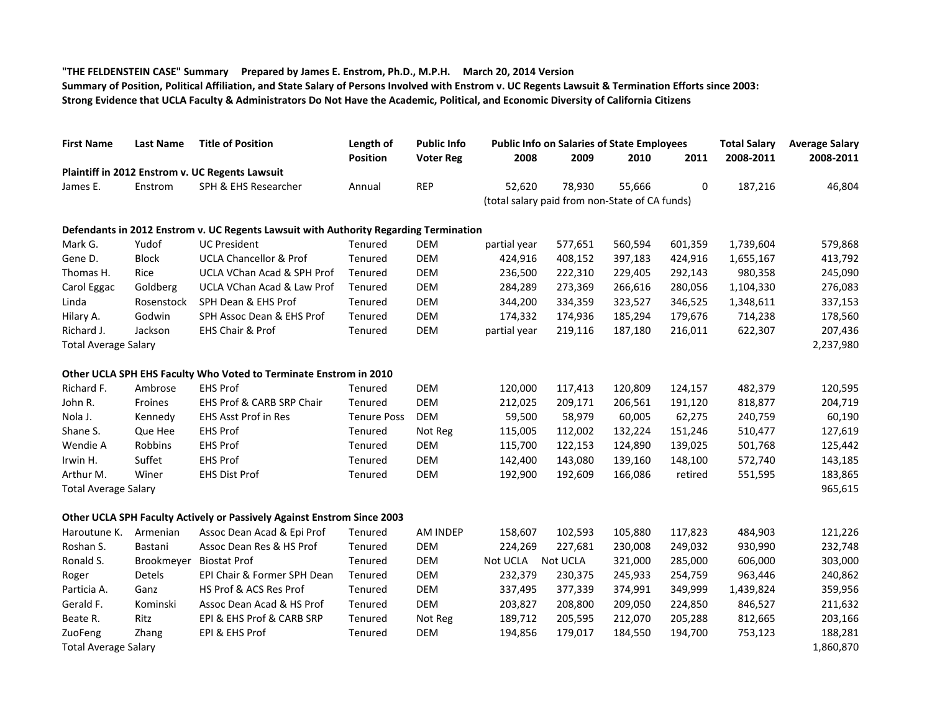## **"THE FELDENSTEIN CASE" Summary Prepared by James E. Enstrom, Ph.D., M.P.H. March 20, 2014 Version**

**Summary of Position, Political Affiliation, and State Salary of Persons Involved with Enstrom v. UC Regents Lawsuit & Termination Efforts since 2003: Strong Evidence that UCLA Faculty & Administrators Do Not Have the Academic, Political, and Economic Diversity of California Citizens**

| <b>First Name</b>           | <b>Last Name</b> | <b>Title of Position</b>                                                              | Length of<br>Position | <b>Public Info</b><br><b>Voter Reg</b> |                   | <b>Public Info on Salaries of State Employees</b> | <b>Total Salary</b> | <b>Average Salary</b> |           |           |  |  |
|-----------------------------|------------------|---------------------------------------------------------------------------------------|-----------------------|----------------------------------------|-------------------|---------------------------------------------------|---------------------|-----------------------|-----------|-----------|--|--|
|                             |                  |                                                                                       |                       |                                        | 2008              | 2009                                              | 2010                | 2011                  | 2008-2011 | 2008-2011 |  |  |
|                             |                  | Plaintiff in 2012 Enstrom v. UC Regents Lawsuit                                       |                       |                                        |                   |                                                   |                     |                       |           |           |  |  |
| James E.                    | Enstrom          | SPH & EHS Researcher                                                                  | Annual                | <b>REP</b>                             | 52,620            | 78,930                                            | 55,666              | 0                     | 187,216   | 46,804    |  |  |
|                             |                  | (total salary paid from non-State of CA funds)                                        |                       |                                        |                   |                                                   |                     |                       |           |           |  |  |
|                             |                  | Defendants in 2012 Enstrom v. UC Regents Lawsuit with Authority Regarding Termination |                       |                                        |                   |                                                   |                     |                       |           |           |  |  |
| Mark G.                     | Yudof            | <b>UC President</b>                                                                   | Tenured               | <b>DEM</b>                             | partial year      | 577,651                                           | 560,594             | 601,359               | 1,739,604 | 579,868   |  |  |
| Gene D.                     | <b>Block</b>     | <b>UCLA Chancellor &amp; Prof</b>                                                     | Tenured               | <b>DEM</b>                             | 424,916           | 408,152                                           | 397,183             | 424,916               | 1,655,167 | 413,792   |  |  |
| Thomas H.                   | Rice             | UCLA VChan Acad & SPH Prof                                                            | Tenured               | <b>DEM</b>                             | 236,500           | 222,310                                           | 229,405             | 292,143               | 980,358   | 245,090   |  |  |
| Carol Eggac                 | Goldberg         | UCLA VChan Acad & Law Prof                                                            | Tenured               | <b>DEM</b>                             | 284,289           | 273,369                                           | 266,616             | 280,056               | 1,104,330 | 276,083   |  |  |
| Linda                       | Rosenstock       | SPH Dean & EHS Prof                                                                   | Tenured               | <b>DEM</b>                             | 344,200           | 334,359                                           | 323,527             | 346,525               | 1,348,611 | 337,153   |  |  |
| Hilary A.                   | Godwin           | SPH Assoc Dean & EHS Prof                                                             | Tenured               | <b>DEM</b>                             | 174,332           | 174,936                                           | 185,294             | 179,676               | 714,238   | 178,560   |  |  |
| Richard J.                  | Jackson          | EHS Chair & Prof                                                                      | Tenured               | <b>DEM</b>                             | partial year      | 219,116                                           | 187,180             | 216,011               | 622,307   | 207,436   |  |  |
| <b>Total Average Salary</b> |                  |                                                                                       |                       |                                        |                   |                                                   |                     |                       |           | 2,237,980 |  |  |
|                             |                  | Other UCLA SPH EHS Faculty Who Voted to Terminate Enstrom in 2010                     |                       |                                        |                   |                                                   |                     |                       |           |           |  |  |
| Richard F.                  | Ambrose          | <b>EHS Prof</b>                                                                       | Tenured               | <b>DEM</b>                             | 120,000           | 117,413                                           | 120,809             | 124,157               | 482,379   | 120,595   |  |  |
| John R.                     | Froines          | EHS Prof & CARB SRP Chair                                                             | Tenured               | DEM                                    | 212,025           | 209,171                                           | 206,561             | 191,120               | 818,877   | 204,719   |  |  |
| Nola J.                     | Kennedy          | <b>EHS Asst Prof in Res</b>                                                           | <b>Tenure Poss</b>    | <b>DEM</b>                             | 59,500            | 58,979                                            | 60,005              | 62,275                | 240,759   | 60,190    |  |  |
| Shane S.                    | Que Hee          | <b>EHS Prof</b>                                                                       | Tenured               | Not Reg                                | 115,005           | 112,002                                           | 132,224             | 151,246               | 510,477   | 127,619   |  |  |
| Wendie A                    | Robbins          | <b>EHS Prof</b>                                                                       | Tenured               | <b>DEM</b>                             | 115,700           | 122,153                                           | 124,890             | 139,025               | 501,768   | 125,442   |  |  |
| Irwin H.                    | Suffet           | <b>EHS Prof</b>                                                                       | Tenured               | <b>DEM</b>                             | 142,400           | 143,080                                           | 139,160             | 148,100               | 572,740   | 143,185   |  |  |
| Arthur M.                   | Winer            | <b>EHS Dist Prof</b>                                                                  | Tenured               | <b>DEM</b>                             | 192,900           | 192,609                                           | 166,086             | retired               | 551,595   | 183,865   |  |  |
| <b>Total Average Salary</b> |                  |                                                                                       |                       |                                        |                   |                                                   |                     |                       |           | 965,615   |  |  |
|                             |                  | Other UCLA SPH Faculty Actively or Passively Against Enstrom Since 2003               |                       |                                        |                   |                                                   |                     |                       |           |           |  |  |
| Haroutune K.                | Armenian         | Assoc Dean Acad & Epi Prof                                                            | Tenured               | AM INDEP                               | 158,607           | 102,593                                           | 105,880             | 117,823               | 484,903   | 121,226   |  |  |
| Roshan S.                   | Bastani          | Assoc Dean Res & HS Prof                                                              | Tenured               | <b>DEM</b>                             | 224,269           | 227,681                                           | 230,008             | 249,032               | 930,990   | 232,748   |  |  |
| Ronald S.                   |                  | Brookmeyer Biostat Prof                                                               | Tenured               | <b>DEM</b>                             | Not UCLA Not UCLA |                                                   | 321,000             | 285,000               | 606,000   | 303,000   |  |  |
| Roger                       | Detels           | EPI Chair & Former SPH Dean                                                           | Tenured               | <b>DEM</b>                             | 232,379           | 230,375                                           | 245,933             | 254,759               | 963,446   | 240,862   |  |  |
| Particia A.                 | Ganz             | HS Prof & ACS Res Prof                                                                | Tenured               | <b>DEM</b>                             | 337,495           | 377,339                                           | 374,991             | 349,999               | 1,439,824 | 359,956   |  |  |
| Gerald F.                   | Kominski         | Assoc Dean Acad & HS Prof                                                             | Tenured               | <b>DEM</b>                             | 203,827           | 208,800                                           | 209,050             | 224,850               | 846,527   | 211,632   |  |  |
| Beate R.                    | Ritz             | EPI & EHS Prof & CARB SRP                                                             | Tenured               | Not Reg                                | 189,712           | 205,595                                           | 212,070             | 205,288               | 812,665   | 203,166   |  |  |
| ZuoFeng                     | Zhang            | EPI & EHS Prof                                                                        | Tenured               | <b>DEM</b>                             | 194,856           | 179,017                                           | 184,550             | 194,700               | 753,123   | 188,281   |  |  |
| <b>Total Average Salary</b> |                  |                                                                                       |                       |                                        |                   |                                                   | 1,860,870           |                       |           |           |  |  |